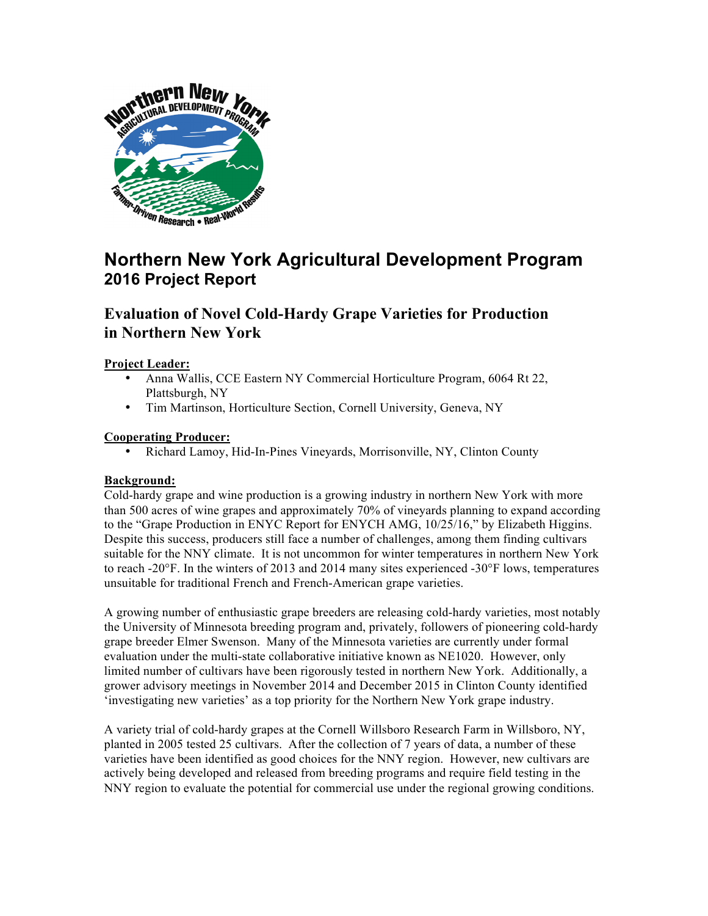

# **Northern New York Agricultural Development Program 2016 Project Report**

## **Evaluation of Novel Cold-Hardy Grape Varieties for Production in Northern New York**

#### **Project Leader:**

- Anna Wallis, CCE Eastern NY Commercial Horticulture Program, 6064 Rt 22, Plattsburgh, NY
- Tim Martinson, Horticulture Section, Cornell University, Geneva, NY

#### **Cooperating Producer:**

• Richard Lamoy, Hid-In-Pines Vineyards, Morrisonville, NY, Clinton County

#### **Background:**

Cold-hardy grape and wine production is a growing industry in northern New York with more than 500 acres of wine grapes and approximately 70% of vineyards planning to expand according to the "Grape Production in ENYC Report for ENYCH AMG, 10/25/16," by Elizabeth Higgins. Despite this success, producers still face a number of challenges, among them finding cultivars suitable for the NNY climate. It is not uncommon for winter temperatures in northern New York to reach -20°F. In the winters of 2013 and 2014 many sites experienced -30°F lows, temperatures unsuitable for traditional French and French-American grape varieties.

A growing number of enthusiastic grape breeders are releasing cold-hardy varieties, most notably the University of Minnesota breeding program and, privately, followers of pioneering cold-hardy grape breeder Elmer Swenson. Many of the Minnesota varieties are currently under formal evaluation under the multi-state collaborative initiative known as NE1020. However, only limited number of cultivars have been rigorously tested in northern New York. Additionally, a grower advisory meetings in November 2014 and December 2015 in Clinton County identified 'investigating new varieties' as a top priority for the Northern New York grape industry.

A variety trial of cold-hardy grapes at the Cornell Willsboro Research Farm in Willsboro, NY, planted in 2005 tested 25 cultivars. After the collection of 7 years of data, a number of these varieties have been identified as good choices for the NNY region. However, new cultivars are actively being developed and released from breeding programs and require field testing in the NNY region to evaluate the potential for commercial use under the regional growing conditions.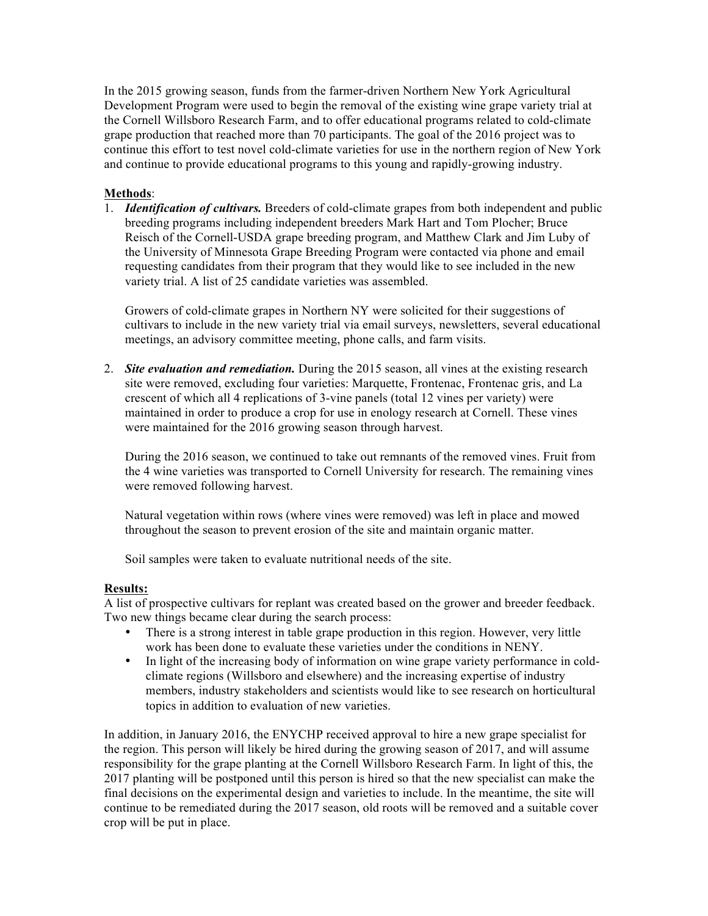In the 2015 growing season, funds from the farmer-driven Northern New York Agricultural Development Program were used to begin the removal of the existing wine grape variety trial at the Cornell Willsboro Research Farm, and to offer educational programs related to cold-climate grape production that reached more than 70 participants. The goal of the 2016 project was to continue this effort to test novel cold-climate varieties for use in the northern region of New York and continue to provide educational programs to this young and rapidly-growing industry.

#### **Methods**:

1. *Identification of cultivars.* Breeders of cold-climate grapes from both independent and public breeding programs including independent breeders Mark Hart and Tom Plocher; Bruce Reisch of the Cornell-USDA grape breeding program, and Matthew Clark and Jim Luby of the University of Minnesota Grape Breeding Program were contacted via phone and email requesting candidates from their program that they would like to see included in the new variety trial. A list of 25 candidate varieties was assembled.

Growers of cold-climate grapes in Northern NY were solicited for their suggestions of cultivars to include in the new variety trial via email surveys, newsletters, several educational meetings, an advisory committee meeting, phone calls, and farm visits.

2. *Site evaluation and remediation.* During the 2015 season, all vines at the existing research site were removed, excluding four varieties: Marquette, Frontenac, Frontenac gris, and La crescent of which all 4 replications of 3-vine panels (total 12 vines per variety) were maintained in order to produce a crop for use in enology research at Cornell. These vines were maintained for the 2016 growing season through harvest.

During the 2016 season, we continued to take out remnants of the removed vines. Fruit from the 4 wine varieties was transported to Cornell University for research. The remaining vines were removed following harvest.

Natural vegetation within rows (where vines were removed) was left in place and mowed throughout the season to prevent erosion of the site and maintain organic matter.

Soil samples were taken to evaluate nutritional needs of the site.

#### **Results:**

A list of prospective cultivars for replant was created based on the grower and breeder feedback. Two new things became clear during the search process:

- There is a strong interest in table grape production in this region. However, very little work has been done to evaluate these varieties under the conditions in NENY.
- In light of the increasing body of information on wine grape variety performance in coldclimate regions (Willsboro and elsewhere) and the increasing expertise of industry members, industry stakeholders and scientists would like to see research on horticultural topics in addition to evaluation of new varieties.

In addition, in January 2016, the ENYCHP received approval to hire a new grape specialist for the region. This person will likely be hired during the growing season of 2017, and will assume responsibility for the grape planting at the Cornell Willsboro Research Farm. In light of this, the 2017 planting will be postponed until this person is hired so that the new specialist can make the final decisions on the experimental design and varieties to include. In the meantime, the site will continue to be remediated during the 2017 season, old roots will be removed and a suitable cover crop will be put in place.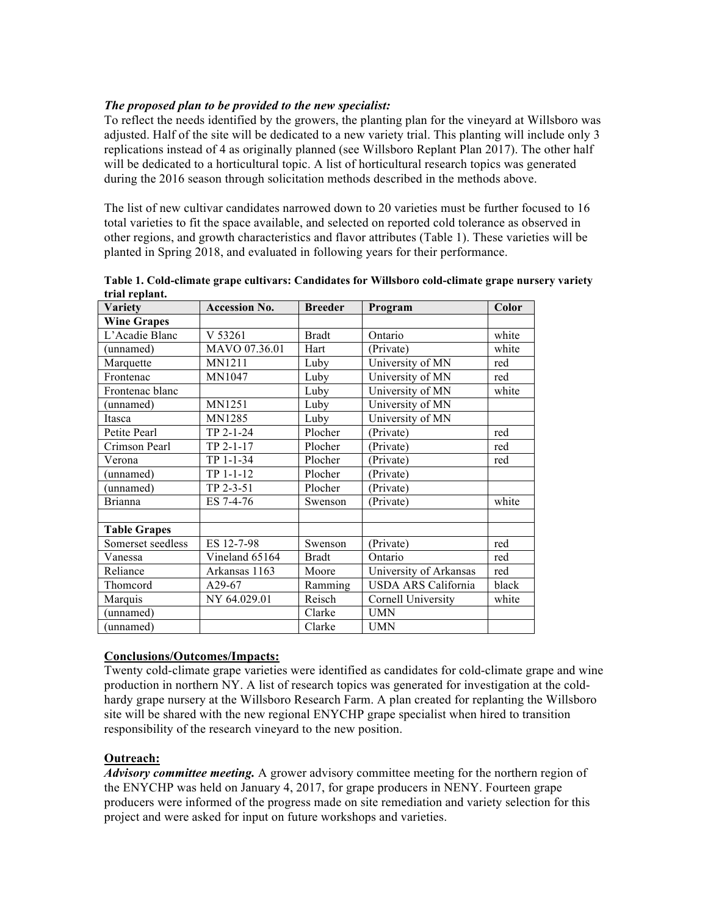#### *The proposed plan to be provided to the new specialist:*

To reflect the needs identified by the growers, the planting plan for the vineyard at Willsboro was adjusted. Half of the site will be dedicated to a new variety trial. This planting will include only 3 replications instead of 4 as originally planned (see Willsboro Replant Plan 2017). The other half will be dedicated to a horticultural topic. A list of horticultural research topics was generated during the 2016 season through solicitation methods described in the methods above.

The list of new cultivar candidates narrowed down to 20 varieties must be further focused to 16 total varieties to fit the space available, and selected on reported cold tolerance as observed in other regions, and growth characteristics and flavor attributes (Table 1). These varieties will be planted in Spring 2018, and evaluated in following years for their performance.

| Variety             | <b>Accession No.</b> | <b>Breeder</b> | Program                    | Color |
|---------------------|----------------------|----------------|----------------------------|-------|
| <b>Wine Grapes</b>  |                      |                |                            |       |
| L'Acadie Blanc      | V 53261              | <b>Bradt</b>   | Ontario                    | white |
| (unnamed)           | MAVO 07.36.01        | Hart           | (Private)                  | white |
| Marquette           | MN1211               | Luby           | University of MN           | red   |
| Frontenac           | MN1047               | Luby           | University of MN           | red   |
| Frontenac blanc     |                      | Luby           | University of MN           | white |
| (unnamed)           | MN1251               | Luby           | University of MN           |       |
| Itasca              | MN1285               | Luby           | University of MN           |       |
| Petite Pearl        | TP 2-1-24            | Plocher        | (Private)                  | red   |
| Crimson Pearl       | TP 2-1-17            | Plocher        | (Private)                  | red   |
| Verona              | TP 1-1-34            | Plocher        | (Private)                  | red   |
| (unnamed)           | TP 1-1-12            | Plocher        | (Private)                  |       |
| (unnamed)           | TP 2-3-51            | Plocher        | (Private)                  |       |
| <b>Brianna</b>      | ES 7-4-76            | Swenson        | (Private)                  | white |
|                     |                      |                |                            |       |
| <b>Table Grapes</b> |                      |                |                            |       |
| Somerset seedless   | ES 12-7-98           | Swenson        | (Private)                  | red   |
| Vanessa             | Vineland 65164       | <b>Bradt</b>   | Ontario                    | red   |
| Reliance            | Arkansas 1163        | Moore          | University of Arkansas     | red   |
| Thomcord            | A <sub>29</sub> -67  | Ramming        | <b>USDA ARS California</b> | black |
| Marquis             | NY 64.029.01         | Reisch         | Cornell University         | white |
| (unnamed)           |                      | Clarke         | <b>UMN</b>                 |       |
| (unnamed)           |                      | Clarke         | <b>UMN</b>                 |       |

**Table 1. Cold-climate grape cultivars: Candidates for Willsboro cold-climate grape nursery variety trial replant.**

### **Conclusions/Outcomes/Impacts:**

Twenty cold-climate grape varieties were identified as candidates for cold-climate grape and wine production in northern NY. A list of research topics was generated for investigation at the coldhardy grape nursery at the Willsboro Research Farm. A plan created for replanting the Willsboro site will be shared with the new regional ENYCHP grape specialist when hired to transition responsibility of the research vineyard to the new position.

#### **Outreach:**

*Advisory committee meeting.* A grower advisory committee meeting for the northern region of the ENYCHP was held on January 4, 2017, for grape producers in NENY. Fourteen grape producers were informed of the progress made on site remediation and variety selection for this project and were asked for input on future workshops and varieties.